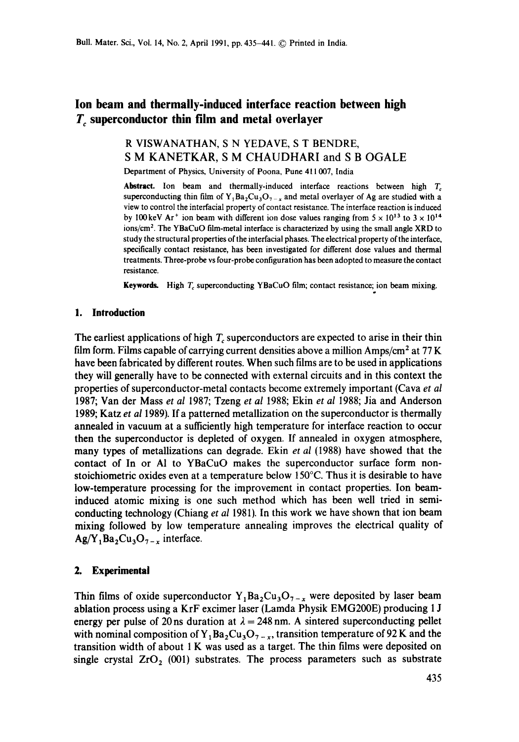# **Ion beam and thermally-induced interface reaction between high T** superconductor thin film and metal overlayer

## R VISWANATHAN, S N YEDAVE, S T BENDRE, S M KANETKAR, S M CHAUDHARI and S B OGALE

Department of Physics, University of Poona, Pune 411 007, India

Abstract. Ion beam and thermally-induced interface reactions between high  $T_c$ superconducting thin film of Y<sub>1</sub>Ba<sub>2</sub>Cu<sub>3</sub>O<sub>7-x</sub> and metal overlayer of Ag are studied with a view to control the interfacial property of contact resistance, The interface reaction is induced by 100 keV Ar<sup>+</sup> ion beam with different ion dose values ranging from  $5 \times 10^{13}$  to  $3 \times 10^{14}$ ions/cm 2. The YBaCuO film-metal interface is characterized by using the small angle XRD to study the structural properties of the interracial phases. The electrical property of the interface, specifically contact resistance, has been investigated for different dose values and thermal treatments. Three-probe vs four-probe configuration has been adopted to measure the **contact**  resistance.

Keywords. High  $T_c$  superconducting YBaCuO film; contact resistance; ion beam mixing.

### **1. Introduction**

The earliest applications of high  $T_c$  superconductors are expected to arise in their thin film form. Films capable of carrying current densities above a million  $Amps/cm<sup>2</sup>$  at 77 K have been fabricated by different routes. When such films are to be used in applications they will generally have to be connected with external circuits and in this context the properties of superconductor-metal contacts become extremely important (Cava *et al*  1987; Van der Mass *et al* 1987; Tzeng *et al* 1988; Ekin *et al* 1988; Jia and Anderson 1989; Katz *et al* 1989). If a patterned metallization on the superconductor is thermally annealed in vacuum at a sufficiently high temperature for interface reaction to occur then the superconductor is depleted of oxygen. If annealed in oxygen atmosphere, many types of metallizations can degrade. Ekin *et al* (1988) have showed that the contact of In or AI to YBaCuO makes the superconductor surface form nonstoichiometric oxides even at a temperature below  $150^{\circ}$ C. Thus it is desirable to have low-temperature processing for the improvement in contact properties. Ion beaminduced atomic mixing is one such method which has been well tried in semiconducting technology (Chiang *et al* 1981). In this work we have shown that ion beam mixing followed by low temperature annealing improves the electrical quality of  $Ag/Y_1Ba_2Cu_3O_{7-x}$  interface.

### **2. Experimental**

Thin films of oxide superconductor  $Y_1Ba_2Cu_3O_{7-x}$  were deposited by laser beam ablation process using a KrF excimer laser (Lamda Physik EMG200E) producing 1 J energy per pulse of 20 ns duration at  $\lambda = 248$  nm. A sintered superconducting pellet with nominal composition of Y<sub>1</sub>Ba<sub>2</sub>Cu<sub>3</sub>O<sub>7</sub> –  $_{\rm x}$ , transition temperature of 92 K and the transition width of about 1 K was used as a target. The thin films were deposited on single crystal  $ZrO<sub>2</sub>$  (001) substrates. The process parameters such as substrate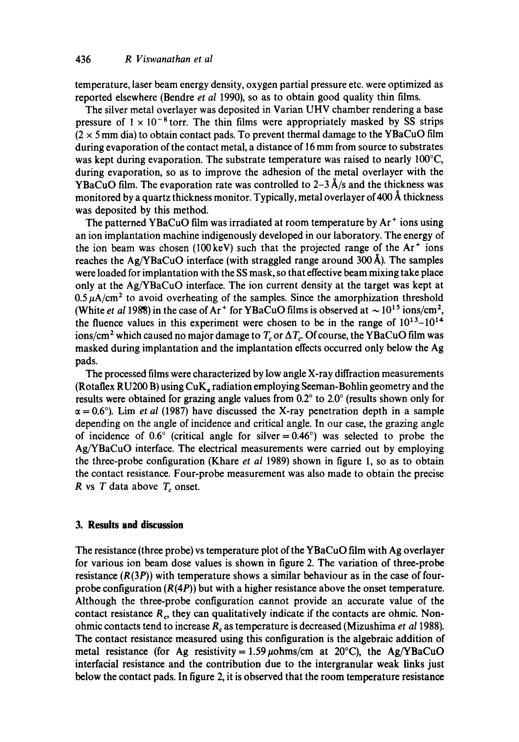temperature, laser beam energy density, oxygen partial pressure etc. were optimized as reported elsewhere (Bendre *et al* 1990), so as to obtain good quality thin films.

The silver metal overlayer was deposited in Varian UHV chamber rendering a base pressure of  $1 \times 10^{-8}$  torr. The thin films were appropriately masked by SS strips  $(2 \times 5 \text{ mm})$  dia) to obtain contact pads. To prevent thermal damage to the YBaCuO film during evaporation of the contact metal, a distance of 16 mm from source to substrates was kept during evaporation. The substrate temperature was raised to nearly 100<sup>o</sup>C, during evaporation, so as to improve the adhesion of the metal overlayer with the YBaCuO film. The evaporation rate was controlled to  $2-3$  Å/s and the thickness was monitored by a quartz thickness monitor. Typically, metal overlayer of 400  $\AA$  thickness was deposited by this method.

The patterned YBaCuO film was irradiated at room temperature by Ar ÷ ions using an ion implantation machine indigenously developed in our laboratory. The energy of the ion beam was chosen (100 keV) such that the projected range of the  $Ar<sup>+</sup>$  ions reaches the  $Ag/YBaCuO$  interface (with straggled range around 300 Å). The samples were loaded for implantation with the SS mask, so that effective beam mixing take place only at the Ag/YBaCuO interface. The ion current density at the target was kept at  $0.5~\mu$ A/cm<sup>2</sup> to avoid overheating of the samples. Since the amorphization threshold (White *et al* 1988) in the case of Ar<sup>+</sup> for YBaCuO films is observed at  $\sim 10^{15}$  ions/cm<sup>2</sup>, the fluence values in this experiment were chosen to be in the range of  $10^{13}-10^{14}$ ions/cm<sup>2</sup> which caused no major damage to  $T_c$  or  $\Delta T_c$ . Of course, the YBaCuO film was masked during implantation and the implantation effects occurred only below the Ag pads.

The processed films were characterized by low angle X-ray diffraction measurements (Rotaflex RU200 B) using  $CuK<sub>a</sub>$  radiation employing Seeman-Bohlin geometry and the results were obtained for grazing angle values from  $0.2^{\circ}$  to  $2.0^{\circ}$  (results shown only for  $\alpha = 0.6^{\circ}$ ). Lim *et al* (1987) have discussed the X-ray penetration depth in a sample depending on the angle of incidence and critical angle. In our case, the grazing angle of incidence of 0.6 $\degree$  (critical angle for silver = 0.46 $\degree$ ) was selected to probe the Ag/YBaCuO interface. The electrical measurements were carried out by employing the three-probe configuration (Khare *et al* 1989) shown in figure 1, so as to obtain the contact resistance. Four-probe measurement was also made to obtain the precise R vs  $T$  data above  $T_c$  onset.

#### **3. Results and discussion**

The resistance (three probe) vs temperature plot of the YBaCuO film with Ag overlayer for various ion beam dose values is shown in figure 2. The variation of three-probe resistance  $(R(3P))$  with temperature shows a similar behaviour as in the case of fourprobe configuration  $(R(4P))$  but with a higher resistance above the onset temperature. Although the three-probe configuration cannot provide an accurate value of the contact resistance  $R<sub>c</sub>$ , they can qualitatively indicate if the contacts are ohmic. Nonohmic contacts tend to increase Rc as temperature is decreased (Mizushima *et a11988).*  The contact resistance measured using this configuration is the algebraic addition of metal resistance (for Ag resistivity =  $1.59 \,\mu\text{ohms/cm}$  at 20°C), the Ag/YBaCuO inteffacial resistance and the contribution due to the intergranular weak links just below the contact pads. In figure 2, it is observed that the room temperature resistance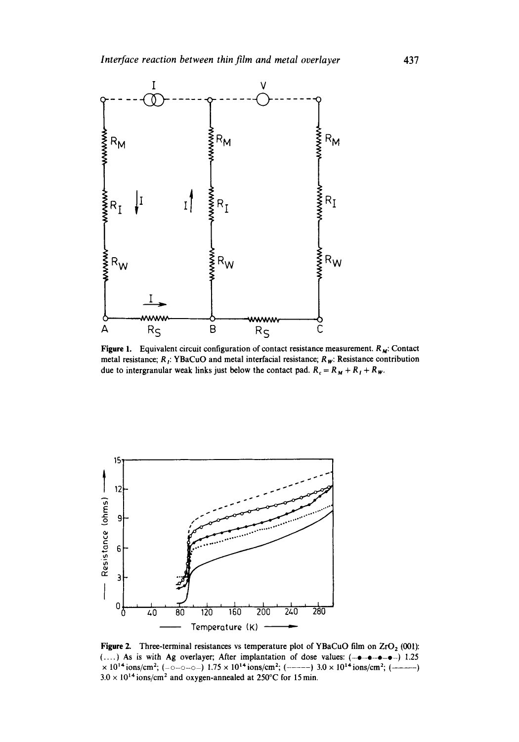

**Figure 1.** Equivalent circuit configuration of contact resistance measurement. R<sub>M</sub>: Contact metal resistance; R<sub>j</sub>: YBaCuO and metal interfacial resistance; R<sub>W</sub>: Resistance contribution due to intergranular weak links just below the contact pad.  $R_c = R_M + R_I + R_W$ .



**Figure 2.** Three-terminal resistances vs temperature plot of YBaCuO film on  $ZrO<sub>2</sub>$  (001):  $(\dots)$  As is with Ag overlayer; After implantation of dose values:  $(-\bullet-\bullet-\bullet-)$  1.25  $\times$  10<sup>14</sup> ions/cm<sup>2</sup>; (-o--o-o-) 1.75  $\times$  10<sup>14</sup> ions/cm<sup>2</sup>; (------) 3.0  $\times$  10<sup>14</sup> ions/cm<sup>2</sup>; (-------)  $3.0 \times 10^{14}$  ions/cm<sup>2</sup> and oxygen-annealed at 250°C for 15 min.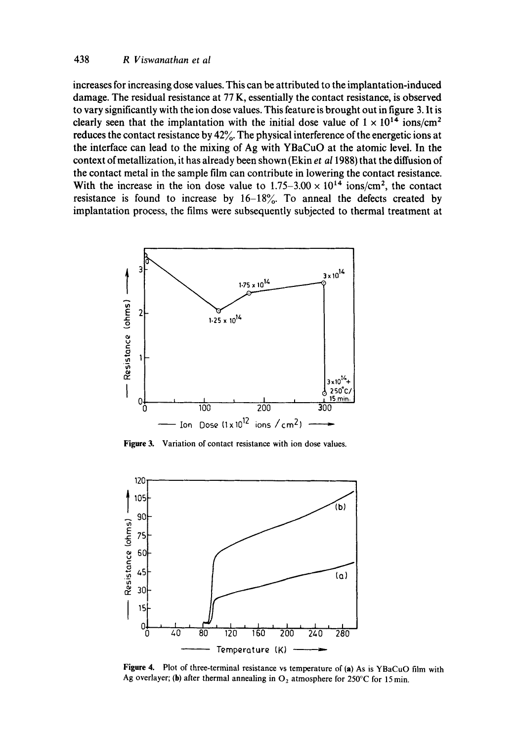#### **438** *R Viswanathan et al*

**increases for increasing dose values. This can be attributed to the implantation-induced damage. The residual resistance at 77 K, essentially the contact resistance, is observed to vary significantly with the ion dose values. This feature is brought out in figure 3. It is clearly seen that the implantation with the initial dose value of**  $1 \times 10^{14}$  **ions/cm<sup>2</sup> reduces the contact resistance by 42%. The physical interference of the energetic ions at the interface can lead to the mixing of Ag with YBaCuO at the atomic level. In the context ofmetallization, it has already been shown (Ekin** *et al* **1988) that the diffusion of the contact metal in the sample film can contribute in lowering the contact resistance.**  With the increase in the ion dose value to  $1.75-3.00 \times 10^{14}$  ions/cm<sup>2</sup>, the contact resistance is found to increase by  $16-18\%$ . To anneal the defects created by **implantation process, the films were subsequently subjected to thermal treatment at** 



**Figure 3. Variation of contact resistance with ion dose values.** 



**Figure 4. Plot of three-terminal resistance vs temperature of (a) As is YBaCuO film with**  Ag overlayer; (b) after thermal annealing in  $O_2$  atmosphere for 250°C for 15 min.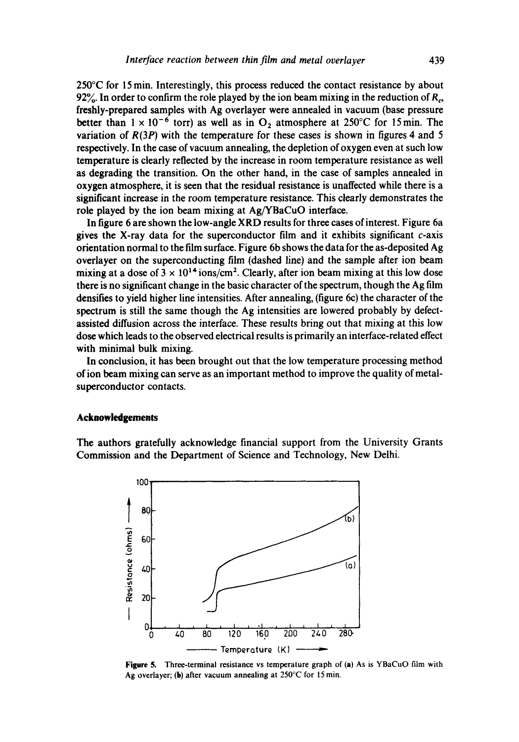250°C for 15 min. Interestingly, this process reduced the contact resistance by about 92%. In order to confirm the role played by the ion beam mixing in the reduction of  $R_{\alpha}$ , freshly-prepared samples with Ag overlayer were annealed in vacuum (base pressure better than  $1 \times 10^{-6}$  torr) as well as in O<sub>2</sub> atmosphere at 250°C for 15min. The variation of  $R(3P)$  with the temperature for these cases is shown in figures 4 and 5 respectively. In the case of vacuum annealing, the depletion of oxygen even at such low temperature is clearly reflected by the increase in room temperature resistance as well as degrading the transition. On the other hand, in the case of samples annealed in oxygen atmosphere, it is seen that the residual resistance is unaffected while there is a significant increase in the room temperature resistance. This clearly demonstrates the role played by the ion beam mixing at Ag/YBaCuO interface.

In figure 6 are shown the low-angle XRD results for three cases of interest. Figure 6a gives the X-ray data for the superconductor film and it exhibits significant  $c$ -axis orientation normal to the film surface. Figure 6b shows the data for the as-deposited Ag overlayer on the superconducting film (dashed line) and the sample after ion beam mixing at a dose of  $3 \times 10^{14}$  ions/cm<sup>2</sup>. Clearly, after ion beam mixing at this low dose there is no significant change in the basic character of the spectrum, though the Ag film densities to yield higher line intensities. After annealing, (figure 6c) the character of the spectrum is still the same though the Ag intensities are lowered probably by defectassisted diffusion across the interface. These results bring out that mixing at this low dose which leads to the observed electrical results is primarily an interface-related effect with minimal bulk mixing.

In conclusion, it has been brought out that the low temperature processing method of ion beam mixing can serve as an important method to improve the quality of metalsuperconductor contacts.

#### **Acknowledgements**

The authors gratefully acknowledge financial support from the University Grants Commission and the Department of Science and Technology, New Delhi.



**Figure** 5. Three-terminal resistance vs temperature graph of (a) As is YBaGuO film with Ag overlayer; (b) after vacuum annealing at 250°C for 15 min.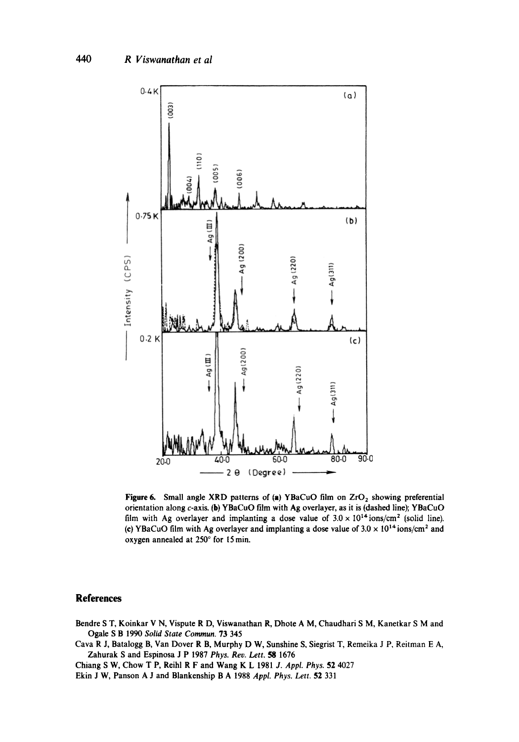

Figure 6. Small angle XRD patterns of (a) YBaCuO film on  $ZrO<sub>2</sub>$  showing preferential orientation along c-axis. (b) YBaCuO film with Ag overlayer, as it is (dashed line); YBaCuO film with Ag overlayer and implanting a dose value of  $3.0 \times 10^{14}$  ions/cm<sup>2</sup> (solid line). (c) YBaCuO film with Ag overlayer and implanting a dose value of  $3.0 \times 10^{14}$  ions/cm<sup>2</sup> and oxygen annealed at 250° for 15 min.

#### **References**

- Bendre S T, Koinkar V N, Vispute R D, Viswanathan R, Dhote A M, Chaudhari S M, Kanetkar S M and Ogale S B 1990 *Solid State Commun.* 73 345
- Cava R J, Batalogg B, Van Dover R B, Murphy D W, Sunshine S, Siegrist T, Remeika J P, Reitman E A, Zahurak S and Espinosa J P 1987 *Phys. Rev. Lett. 58* 1676
- Chiang S W, Chow T P, Reihl R F and Wang K L 1981 *J. Appl. Phys.* 52 4027
- Ekin J W, Panson A J and Blankenship B A 1988 *Appl. Phys. Lett.* 52 331